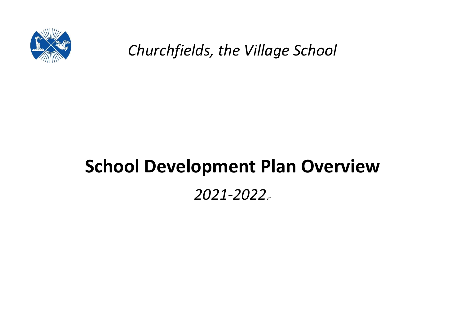

*Churchfields, the Village School*

# **School Development Plan Overview**

## *2021-2022v4*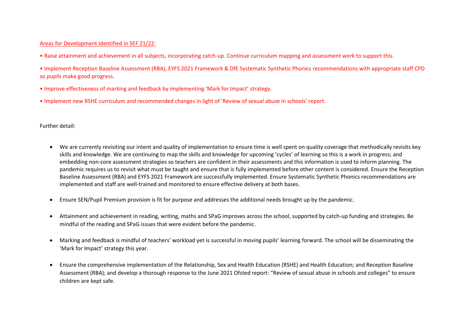#### Areas for Development Identified in SEF 21/22:

• Raise attainment and achievement in all subjects, incorporating catch-up. Continue curriculum mapping and assessment work to support this.

• Implement Reception Baseline Assessment (RBA), EYFS 2021 Framework & DfE Systematic Synthetic Phonics recommendations with appropriate staff CPD so pupils make good progress.

- Improve effectiveness of marking and feedback by implementing 'Mark for Impact' strategy.
- Implement new RSHE curriculum and recommended changes in light of 'Review of sexual abuse in schools' report.

Further detail:

- We are currently revisiting our intent and quality of implementation to ensure time is well spent on quality coverage that methodically revisits key skills and knowledge. We are continuing to map the skills and knowledge for upcoming 'cycles' of learning so this is a work in progress; and embedding non-core assessment strategies so teachers are confident in their assessments and this information is used to inform planning. The pandemic requires us to revisit what must be taught and ensure that is fully implemented before other content is considered. Ensure the Reception Baseline Assessment (RBA) and EYFS 2021 Framework are successfully implemented. Ensure Systematic Synthetic Phonics recommendations are implemented and staff are well-trained and monitored to ensure effective delivery at both bases.
- Ensure SEN/Pupil Premium provision is fit for purpose and addresses the additional needs brought up by the pandemic.
- Attainment and achievement in reading, writing, maths and SPaG improves across the school, supported by catch-up funding and strategies. Be mindful of the reading and SPaG issues that were evident before the pandemic.
- Marking and feedback is mindful of teachers' workload yet is successful in moving pupils' learning forward. The school will be disseminating the 'Mark for Impact' strategy this year.
- Ensure the comprehensive implementation of the Relationship, Sex and Health Education (RSHE) and Health Education; and Reception Baseline Assessment (RBA); and develop a thorough response to the June 2021 Ofsted report: "Review of sexual abuse in schools and colleges" to ensure children are kept safe.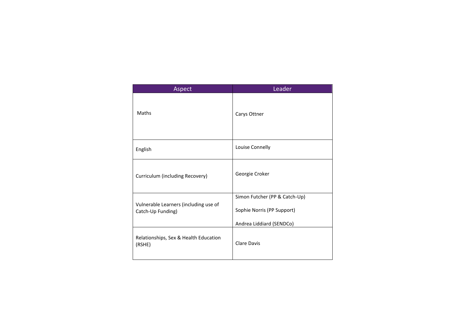| Aspect                                                     | Leader                                                                                  |
|------------------------------------------------------------|-----------------------------------------------------------------------------------------|
| Maths                                                      | Carys Ottner                                                                            |
| English                                                    | Louise Connelly                                                                         |
| Curriculum (including Recovery)                            | Georgie Croker                                                                          |
| Vulnerable Learners (including use of<br>Catch-Up Funding) | Simon Futcher (PP & Catch-Up)<br>Sophie Norris (PP Support)<br>Andrea Liddiard (SENDCo) |
| Relationships, Sex & Health Education<br>(RSHE)            | Clare Davis                                                                             |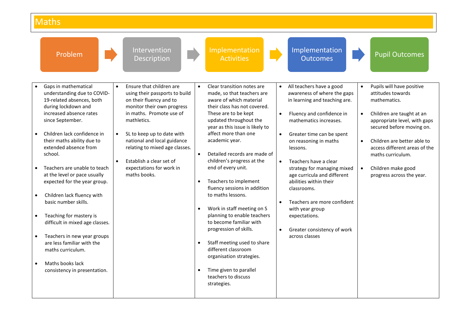## **Maths**

| Problem                                                                                                                                                                                                                                                                                                                                                                                                                                                                                                                                                                                                           | Intervention<br>Description                                                                                                                                                                                                                                                                                                                                                                            | Implementation<br><b>Activities</b>                                                                                                                                                                                                                                                                                                                                                                                                                                                                                                                                                                                                                                                      | Implementation<br><b>Outcomes</b>                                                                                                                                                                                                                                                                                                                                                                                                                                                                                                        | <b>Pupil Outcomes</b>                                                                                                                                                                                                                                                                                                                   |
|-------------------------------------------------------------------------------------------------------------------------------------------------------------------------------------------------------------------------------------------------------------------------------------------------------------------------------------------------------------------------------------------------------------------------------------------------------------------------------------------------------------------------------------------------------------------------------------------------------------------|--------------------------------------------------------------------------------------------------------------------------------------------------------------------------------------------------------------------------------------------------------------------------------------------------------------------------------------------------------------------------------------------------------|------------------------------------------------------------------------------------------------------------------------------------------------------------------------------------------------------------------------------------------------------------------------------------------------------------------------------------------------------------------------------------------------------------------------------------------------------------------------------------------------------------------------------------------------------------------------------------------------------------------------------------------------------------------------------------------|------------------------------------------------------------------------------------------------------------------------------------------------------------------------------------------------------------------------------------------------------------------------------------------------------------------------------------------------------------------------------------------------------------------------------------------------------------------------------------------------------------------------------------------|-----------------------------------------------------------------------------------------------------------------------------------------------------------------------------------------------------------------------------------------------------------------------------------------------------------------------------------------|
| Gaps in mathematical<br>understanding due to COVID-<br>19-related absences, both<br>during lockdown and<br>increased absence rates<br>since September.<br>Children lack confidence in<br>their maths ability due to<br>extended absence from<br>school.<br>Teachers are unable to teach<br>at the level or pace usually<br>expected for the year group.<br>Children lack fluency with<br>basic number skills.<br>Teaching for mastery is<br>difficult in mixed age classes.<br>Teachers in new year groups<br>are less familiar with the<br>maths curriculum.<br>Maths books lack<br>consistency in presentation. | Ensure that children are<br>$\bullet$<br>using their passports to build<br>on their fluency and to<br>monitor their own progress<br>in maths. Promote use of<br>mathletics.<br>SL to keep up to date with<br>$\bullet$<br>national and local guidance<br>relating to mixed age classes.<br>$\bullet$<br>Establish a clear set of<br>expectations for work in<br>maths books.<br>$\bullet$<br>$\bullet$ | Clear transition notes are<br>made, so that teachers are<br>aware of which material<br>their class has not covered.<br>These are to be kept<br>updated throughout the<br>year as this issue is likely to<br>affect more than one<br>academic year.<br>Detailed records are made of<br>children's progress at the<br>end of every unit.<br>Teachers to implement<br>fluency sessions in addition<br>to maths lessons.<br>Work in staff meeting on S<br>planning to enable teachers<br>to become familiar with<br>progression of skills.<br>Staff meeting used to share<br>different classroom<br>organisation strategies.<br>Time given to parallel<br>teachers to discuss<br>strategies. | • All teachers have a good<br>awareness of where the gaps<br>in learning and teaching are.<br>Fluency and confidence in<br>$\bullet$<br>mathematics increases.<br>Greater time can be spent<br>$\bullet$<br>on reasoning in maths<br>lessons.<br>Teachers have a clear<br>$\bullet$<br>strategy for managing mixed<br>age curricula and different<br>abilities within their<br>classrooms.<br>Teachers are more confident<br>$\bullet$<br>with year group<br>expectations.<br>Greater consistency of work<br>$\bullet$<br>across classes | Pupils will have positive<br>attitudes towards<br>mathematics.<br>Children are taught at an<br>$\bullet$<br>appropriate level, with gaps<br>secured before moving on.<br>Children are better able to<br>$\bullet$<br>access different areas of the<br>maths curriculum.<br>Children make good<br>$\bullet$<br>progress across the year. |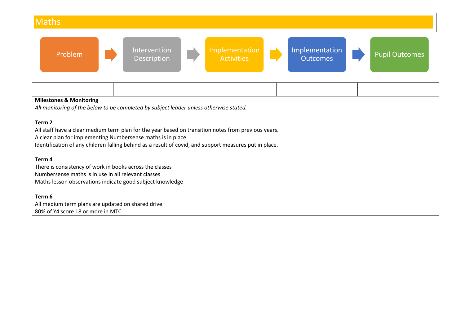## **Maths**



| <b>Milestones &amp; Monitoring</b>                           |                                                                                        |                                                                                                        |  |  |  |  |  |  |  |
|--------------------------------------------------------------|----------------------------------------------------------------------------------------|--------------------------------------------------------------------------------------------------------|--|--|--|--|--|--|--|
|                                                              | All monitoring of the below to be completed by subject leader unless otherwise stated. |                                                                                                        |  |  |  |  |  |  |  |
|                                                              |                                                                                        |                                                                                                        |  |  |  |  |  |  |  |
| Term 2                                                       |                                                                                        |                                                                                                        |  |  |  |  |  |  |  |
|                                                              |                                                                                        | All staff have a clear medium term plan for the year based on transition notes from previous years.    |  |  |  |  |  |  |  |
| A clear plan for implementing Numbersense maths is in place. |                                                                                        |                                                                                                        |  |  |  |  |  |  |  |
|                                                              |                                                                                        | Identification of any children falling behind as a result of covid, and support measures put in place. |  |  |  |  |  |  |  |
|                                                              |                                                                                        |                                                                                                        |  |  |  |  |  |  |  |
| Term 4                                                       |                                                                                        |                                                                                                        |  |  |  |  |  |  |  |
| There is consistency of work in books across the classes     |                                                                                        |                                                                                                        |  |  |  |  |  |  |  |
| Numbersense maths is in use in all relevant classes          |                                                                                        |                                                                                                        |  |  |  |  |  |  |  |
|                                                              | Maths lesson observations indicate good subject knowledge                              |                                                                                                        |  |  |  |  |  |  |  |
|                                                              |                                                                                        |                                                                                                        |  |  |  |  |  |  |  |
| Term 6                                                       |                                                                                        |                                                                                                        |  |  |  |  |  |  |  |
|                                                              | All medium term plans are updated on shared drive                                      |                                                                                                        |  |  |  |  |  |  |  |
| 80% of Y4 score 18 or more in MTC                            |                                                                                        |                                                                                                        |  |  |  |  |  |  |  |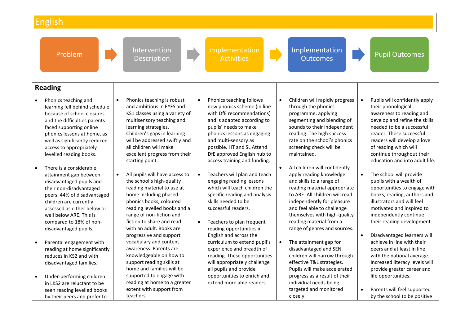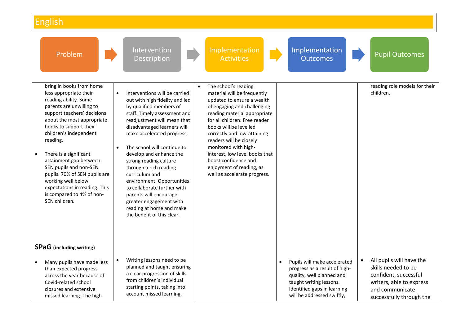| Problem                                                                                                                                                                                                                                                                                                                                                                                                                                                  | Intervention<br>Description                                                                                                                                                                                                                                                                                                                                                                                                                                                                                                                     | Implementation<br><b>Activities</b>                                                                                                                                                                                                                                                                                                                                                                                 | Implementation<br><b>Outcomes</b>                                                                                                                                                               | <b>Pupil Outcomes</b>                                                                                                                               |
|----------------------------------------------------------------------------------------------------------------------------------------------------------------------------------------------------------------------------------------------------------------------------------------------------------------------------------------------------------------------------------------------------------------------------------------------------------|-------------------------------------------------------------------------------------------------------------------------------------------------------------------------------------------------------------------------------------------------------------------------------------------------------------------------------------------------------------------------------------------------------------------------------------------------------------------------------------------------------------------------------------------------|---------------------------------------------------------------------------------------------------------------------------------------------------------------------------------------------------------------------------------------------------------------------------------------------------------------------------------------------------------------------------------------------------------------------|-------------------------------------------------------------------------------------------------------------------------------------------------------------------------------------------------|-----------------------------------------------------------------------------------------------------------------------------------------------------|
| bring in books from home<br>less appropriate their<br>reading ability. Some<br>parents are unwilling to<br>support teachers' decisions<br>about the most appropriate<br>books to support their<br>children's independent<br>reading.<br>There is a significant<br>attainment gap between<br>SEN pupils and non-SEN<br>pupils. 70% of SEN pupils are<br>working well below<br>expectations in reading. This<br>is compared to 4% of non-<br>SEN children. | Interventions will be carried<br>$\bullet$<br>out with high fidelity and led<br>by qualified members of<br>staff. Timely assessment and<br>readjustment will mean that<br>disadvantaged learners will<br>make accelerated progress.<br>The school will continue to<br>develop and enhance the<br>strong reading culture<br>through a rich reading<br>curriculum and<br>environment. Opportunities<br>to collaborate further with<br>parents will encourage<br>greater engagement with<br>reading at home and make<br>the benefit of this clear. | The school's reading<br>material will be frequently<br>updated to ensure a wealth<br>of engaging and challenging<br>reading material appropriate<br>for all children. Free reader<br>books will be levelled<br>correctly and low-attaining<br>readers will be closely<br>monitored with high-<br>interest, low level books that<br>boost confidence and<br>enjoyment of reading, as<br>well as accelerate progress. |                                                                                                                                                                                                 | reading role models for their<br>children.                                                                                                          |
| <b>SPaG</b> (including writing)                                                                                                                                                                                                                                                                                                                                                                                                                          |                                                                                                                                                                                                                                                                                                                                                                                                                                                                                                                                                 |                                                                                                                                                                                                                                                                                                                                                                                                                     |                                                                                                                                                                                                 |                                                                                                                                                     |
| Many pupils have made less<br>than expected progress<br>across the year because of<br>Covid-related school<br>closures and extensive<br>missed learning. The high-                                                                                                                                                                                                                                                                                       | Writing lessons need to be<br>$\bullet$<br>planned and taught ensuring<br>a clear progression of skills<br>from children's individual<br>starting points, taking into<br>account missed learning,                                                                                                                                                                                                                                                                                                                                               |                                                                                                                                                                                                                                                                                                                                                                                                                     | Pupils will make accelerated<br>$\bullet$<br>progress as a result of high-<br>quality, well planned and<br>taught writing lessons.<br>Identified gaps in learning<br>will be addressed swiftly, | All pupils will have the<br>skills needed to be<br>confident, successful<br>writers, able to express<br>and communicate<br>successfully through the |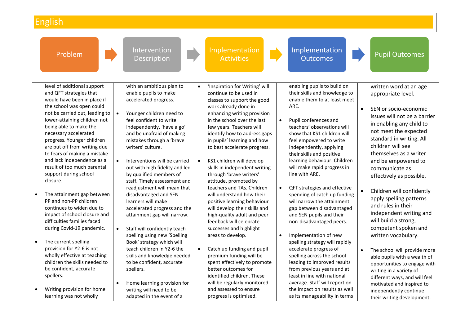|           | Problem                                                                                                                                                                                                                                                                                                                                                             | Intervention<br>Description                                                                                                                                                                                                                                                                   |           | Implementation<br><b>Activities</b>                                                                                                                                                                                                                                                                                                   |           | Implementation<br><b>Outcomes</b>                                                                                                                                                                                                                                                                              |           | <b>Pupil Outcomes</b>                                                                                                                                                                                                                                                |
|-----------|---------------------------------------------------------------------------------------------------------------------------------------------------------------------------------------------------------------------------------------------------------------------------------------------------------------------------------------------------------------------|-----------------------------------------------------------------------------------------------------------------------------------------------------------------------------------------------------------------------------------------------------------------------------------------------|-----------|---------------------------------------------------------------------------------------------------------------------------------------------------------------------------------------------------------------------------------------------------------------------------------------------------------------------------------------|-----------|----------------------------------------------------------------------------------------------------------------------------------------------------------------------------------------------------------------------------------------------------------------------------------------------------------------|-----------|----------------------------------------------------------------------------------------------------------------------------------------------------------------------------------------------------------------------------------------------------------------------|
|           | level of additional support<br>and QFT strategies that<br>would have been in place if<br>the school was open could<br>not be carried out, leading to<br>lower-attaining children not<br>being able to make the<br>necessary accelerated<br>progress. Younger children<br>are put off from writing due<br>to fears of making a mistake<br>and lack independence as a | with an ambitious plan to<br>enable pupils to make<br>accelerated progress.<br>Younger children need to<br>$\bullet$<br>feel confident to write<br>independently, 'have a go'<br>and be unafraid of making<br>mistakes through a 'brave<br>writers' culture.<br>Interventions will be carried |           | 'Inspiration for Writing' will<br>continue to be used in<br>classes to support the good<br>work already done in<br>enhancing writing provision<br>in the school over the last<br>few years. Teachers will<br>identify how to address gaps<br>in pupils' learning and how<br>to best accelerate progress.<br>KS1 children will develop | $\bullet$ | enabling pupils to build on<br>their skills and knowledge to<br>enable them to at least meet<br>ARE.<br>Pupil conferences and<br>teachers' observations will<br>show that KS1 children will<br>feel empowered to write<br>independently, applying<br>their skills and positive<br>learning behaviour. Children | $\bullet$ | written word at an age<br>appropriate level.<br>SEN or socio-economic<br>issues will not be a barrier<br>in enabling any child to<br>not meet the expected<br>standard in writing. All<br>children will see<br>themselves as a writer<br>and be empowered to         |
| $\bullet$ | result of too much parental<br>support during school<br>closure.<br>The attainment gap between<br>PP and non-PP children<br>continues to widen due to<br>impact of school closure and<br>difficulties families faced<br>during Covid-19 pandemic.                                                                                                                   | out with high fidelity and led<br>by qualified members of<br>staff. Timely assessment and<br>readjustment will mean that<br>disadvantaged and SEN<br>learners will make<br>accelerated progress and the<br>attainment gap will narrow.<br>Staff will confidently teach<br>$\bullet$           |           | skills in independent writing<br>through 'brave writers'<br>attitude, promoted by<br>teachers and TAs. Children<br>will understand how their<br>positive learning behaviour<br>will develop their skills and<br>high-quality adult and peer<br>feedback will celebrate<br>successes and highlight                                     | $\bullet$ | will make rapid progress in<br>line with ARE.<br>QFT strategies and effective<br>spending of catch up funding<br>will narrow the attainment<br>gap between disadvantaged<br>and SEN pupils and their<br>non-disadvantaged peers.                                                                               |           | communicate as<br>effectively as possible.<br>Children will confidently<br>apply spelling patterns<br>and rules in their<br>independent writing and<br>will build a strong,<br>competent spoken and                                                                  |
| $\bullet$ | The current spelling<br>provision for Y2-6 is not<br>wholly effective at teaching<br>children the skills needed to<br>be confident, accurate<br>spellers.<br>Writing provision for home<br>learning was not wholly                                                                                                                                                  | spelling using new 'Spelling<br>Book' strategy which will<br>teach children in Y2-6 the<br>skills and knowledge needed<br>to be confident, accurate<br>spellers.<br>Home learning provision for<br>writing will need to be<br>adapted in the event of a                                       | $\bullet$ | areas to develop.<br>Catch up funding and pupil<br>premium funding will be<br>spent effectively to promote<br>better outcomes for<br>identified children. These<br>will be regularly monitored<br>and assessed to ensure<br>progress is optimised.                                                                                    | $\bullet$ | Implementation of new<br>spelling strategy will rapidly<br>accelerate progress of<br>spelling across the school<br>leading to improved results<br>from previous years and at<br>least in line with national<br>average. Staff will report on<br>the impact on results as well<br>as its manageability in terms |           | written vocabulary.<br>The school will provide more<br>able pupils with a wealth of<br>opportunities to engage with<br>writing in a variety of<br>different ways, and will feel<br>motivated and inspired to<br>independently continue<br>their writing development. |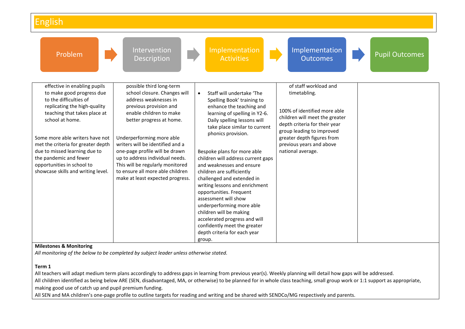| Problem                                                                                                                                                                                                                                                                                                                                                                        | Intervention<br>Description                                                                                                                                                                                                                                                                                                                                                                                          | Implementation<br><b>Activities</b>                                                                                                                                                                                                                                                                                                                                                                                                                                                                                                                                                                                                          | Implementation<br><b>Outcomes</b>                                                                                                                                                                                                                    | <b>Pupil Outcomes</b> |
|--------------------------------------------------------------------------------------------------------------------------------------------------------------------------------------------------------------------------------------------------------------------------------------------------------------------------------------------------------------------------------|----------------------------------------------------------------------------------------------------------------------------------------------------------------------------------------------------------------------------------------------------------------------------------------------------------------------------------------------------------------------------------------------------------------------|----------------------------------------------------------------------------------------------------------------------------------------------------------------------------------------------------------------------------------------------------------------------------------------------------------------------------------------------------------------------------------------------------------------------------------------------------------------------------------------------------------------------------------------------------------------------------------------------------------------------------------------------|------------------------------------------------------------------------------------------------------------------------------------------------------------------------------------------------------------------------------------------------------|-----------------------|
| effective in enabling pupils<br>to make good progress due<br>to the difficulties of<br>replicating the high-quality<br>teaching that takes place at<br>school at home.<br>Some more able writers have not<br>met the criteria for greater depth<br>due to missed learning due to<br>the pandemic and fewer<br>opportunities in school to<br>showcase skills and writing level. | possible third long-term<br>school closure. Changes will<br>address weaknesses in<br>previous provision and<br>enable children to make<br>better progress at home.<br>Underperforming more able<br>writers will be identified and a<br>one-page profile will be drawn<br>up to address individual needs.<br>This will be regularly monitored<br>to ensure all more able children<br>make at least expected progress. | Staff will undertake 'The<br>$\bullet$<br>Spelling Book' training to<br>enhance the teaching and<br>learning of spelling in Y2-6.<br>Daily spelling lessons will<br>take place similar to current<br>phonics provision.<br>Bespoke plans for more able<br>children will address current gaps<br>and weaknesses and ensure<br>children are sufficiently<br>challenged and extended in<br>writing lessons and enrichment<br>opportunities. Frequent<br>assessment will show<br>underperforming more able<br>children will be making<br>accelerated progress and will<br>confidently meet the greater<br>depth criteria for each year<br>group. | of staff workload and<br>timetabling.<br>100% of identified more able<br>children will meet the greater<br>depth criteria for their year<br>group leading to improved<br>greater depth figures from<br>previous years and above<br>national average. |                       |

#### **Milestones & Monitoring**

*All monitoring of the below to be completed by subject leader unless otherwise stated.*

#### **Term 1**

All teachers will adapt medium term plans accordingly to address gaps in learning from previous year(s). Weekly planning will detail how gaps will be addressed.

All children identified as being below ARE (SEN, disadvantaged, MA, or otherwise) to be planned for in whole class teaching, small group work or 1:1 support as appropriate, making good use of catch up and pupil premium funding.

All SEN and MA children's one-page profile to outline targets for reading and writing and be shared with SENDCo/MG respectively and parents.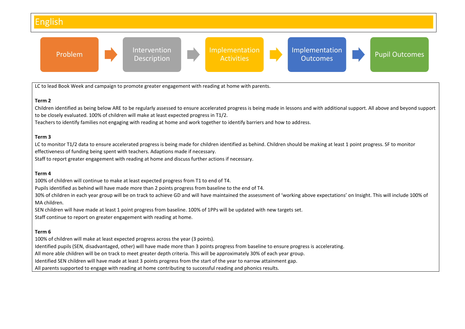

SEN children will have made at least 1 point progress from baseline. 100% of 1PPs will be updated with new targets set.

Staff continue to report on greater engagement with reading at home.

#### **Term 6**

100% of children will make at least expected progress across the year (3 points). Identified pupils (SEN, disadvantaged, other) will have made more than 3 points progress from baseline to ensure progress is accelerating. All more able children will be on track to meet greater depth criteria. This will be approximately 30% of each year group. Identified SEN children will have made at least 3 points progress from the start of the year to narrow attainment gap. All parents supported to engage with reading at home contributing to successful reading and phonics results.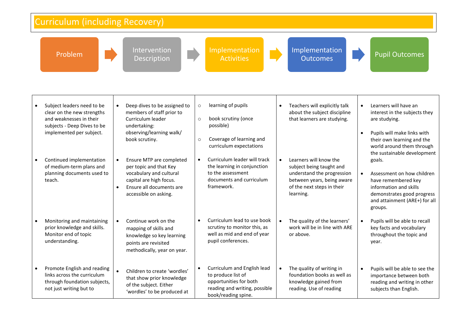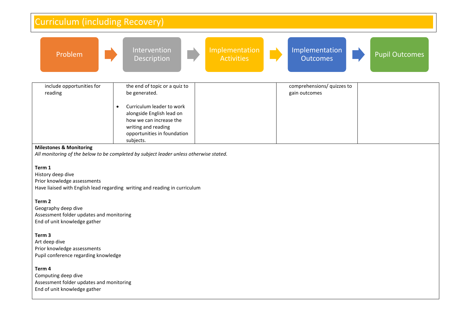| Curriculum (including Recovery)                                                                                                                                                                                                                                                                                                                                                                 |                                                                                                                                                                                                                     |                                     |                                             |                       |  |  |
|-------------------------------------------------------------------------------------------------------------------------------------------------------------------------------------------------------------------------------------------------------------------------------------------------------------------------------------------------------------------------------------------------|---------------------------------------------------------------------------------------------------------------------------------------------------------------------------------------------------------------------|-------------------------------------|---------------------------------------------|-----------------------|--|--|
| Problem                                                                                                                                                                                                                                                                                                                                                                                         | Intervention<br>Description                                                                                                                                                                                         | Implementation<br><b>Activities</b> | Implementation<br><b>Outcomes</b>           | <b>Pupil Outcomes</b> |  |  |
| include opportunities for<br>reading                                                                                                                                                                                                                                                                                                                                                            | the end of topic or a quiz to<br>be generated.<br>Curriculum leader to work<br>$\bullet$<br>alongside English lead on<br>how we can increase the<br>writing and reading<br>opportunities in foundation<br>subjects. |                                     | comprehensions/ quizzes to<br>gain outcomes |                       |  |  |
| <b>Milestones &amp; Monitoring</b><br>All monitoring of the below to be completed by subject leader unless otherwise stated.<br>Term 1<br>History deep dive<br>Prior knowledge assessments<br>Have liaised with English lead regarding writing and reading in curriculum<br>Term 2<br>Geography deep dive<br>Assessment folder updates and monitoring<br>End of unit knowledge gather<br>Term 3 |                                                                                                                                                                                                                     |                                     |                                             |                       |  |  |
| Art deep dive<br>Prior knowledge assessments<br>Pupil conference regarding knowledge<br>Term 4<br>Computing deep dive<br>Assessment folder updates and monitoring<br>End of unit knowledge gather                                                                                                                                                                                               |                                                                                                                                                                                                                     |                                     |                                             |                       |  |  |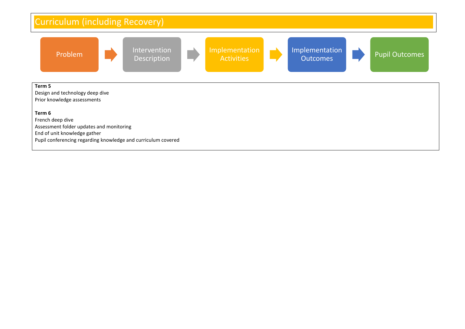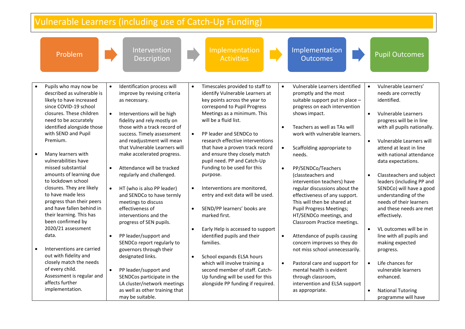|           | Vulnerable Learners (including use of Catch-Up Funding)                                                                                                                                                                                                                                                                                                                                                                                                                                                                                                                                               |                                                                                                                                                                                                                                                                                                                                                                                                                                                                                                                                                                                                                                                                                                                                                                                                                                                                                                                                                                                                                                                                                                                                                                                                                                                                                                                                                                                                                                                                                                                                                                                                                                                                                                                                                                                                                                                                                                                                                                                                                                                                                                                                                                             |                                                                                                                                                                                                                                                                                                                                                                                                                                                                                                                                 |  |  |  |
|-----------|-------------------------------------------------------------------------------------------------------------------------------------------------------------------------------------------------------------------------------------------------------------------------------------------------------------------------------------------------------------------------------------------------------------------------------------------------------------------------------------------------------------------------------------------------------------------------------------------------------|-----------------------------------------------------------------------------------------------------------------------------------------------------------------------------------------------------------------------------------------------------------------------------------------------------------------------------------------------------------------------------------------------------------------------------------------------------------------------------------------------------------------------------------------------------------------------------------------------------------------------------------------------------------------------------------------------------------------------------------------------------------------------------------------------------------------------------------------------------------------------------------------------------------------------------------------------------------------------------------------------------------------------------------------------------------------------------------------------------------------------------------------------------------------------------------------------------------------------------------------------------------------------------------------------------------------------------------------------------------------------------------------------------------------------------------------------------------------------------------------------------------------------------------------------------------------------------------------------------------------------------------------------------------------------------------------------------------------------------------------------------------------------------------------------------------------------------------------------------------------------------------------------------------------------------------------------------------------------------------------------------------------------------------------------------------------------------------------------------------------------------------------------------------------------------|---------------------------------------------------------------------------------------------------------------------------------------------------------------------------------------------------------------------------------------------------------------------------------------------------------------------------------------------------------------------------------------------------------------------------------------------------------------------------------------------------------------------------------|--|--|--|
|           | Problem                                                                                                                                                                                                                                                                                                                                                                                                                                                                                                                                                                                               | Implementation<br>Implementation<br>Intervention<br><b>Activities</b><br><b>Outcomes</b><br>Description                                                                                                                                                                                                                                                                                                                                                                                                                                                                                                                                                                                                                                                                                                                                                                                                                                                                                                                                                                                                                                                                                                                                                                                                                                                                                                                                                                                                                                                                                                                                                                                                                                                                                                                                                                                                                                                                                                                                                                                                                                                                     | <b>Pupil Outcomes</b>                                                                                                                                                                                                                                                                                                                                                                                                                                                                                                           |  |  |  |
| $\bullet$ | Pupils who may now be<br>described as vulnerable is<br>likely to have increased<br>since COVID-19 school<br>closures. These children<br>need to be accurately<br>identified alongside those<br>with SEND and Pupil<br>Premium.<br>Many learners with<br>vulnerabilities have<br>missed substantial<br>amounts of learning due<br>to lockdown school<br>closures. They are likely<br>to have made less<br>progress than their peers<br>and have fallen behind in<br>their learning. This has<br>been confirmed by<br>2020/21 assessment<br>data.<br>Interventions are carried<br>out with fidelity and | Identification process will<br>Timescales provided to staff to<br>Vulnerable Learners identified<br>$\bullet$<br>$\bullet$<br>$\bullet$<br>$\bullet$<br>improve by revising criteria<br>identify Vulnerable Learners at<br>promptly and the most<br>key points across the year to<br>suitable support put in place -<br>as necessary.<br>correspond to Pupil Progress<br>progress on each intervention<br>Meetings as a minimum. This<br>shows impact.<br>$\bullet$<br>Interventions will be high<br>$\bullet$<br>will be a fluid list.<br>fidelity and rely mostly on<br>those with a track record of<br>$\bullet$<br>Teachers as well as TAs will<br>success. Timely assessment<br>PP leader and SENDCo to<br>work with vulnerable learners.<br>$\bullet$<br>research effective interventions<br>and readjustment will mean<br>$\bullet$<br>that Vulnerable Learners will<br>that have a proven track record<br>$\bullet$<br>Scaffolding appropriate to<br>and ensure they closely match<br>make accelerated progress.<br>needs.<br>pupil need. PP and Catch-Up<br>Funding to be used for this<br>Attendance will be tracked<br>PP/SENDCo/Teachers<br>$\bullet$<br>$\bullet$<br>regularly and challenged.<br>purpose.<br>(classteachers and<br>$\bullet$<br>intervention teachers) have<br>Interventions are monitored,<br>HT (who is also PP leader)<br>$\bullet$<br>regular discussions about the<br>$\bullet$<br>and SENDCo to have termly<br>entry and exit data will be used.<br>effectiveness of any support.<br>meetings to discuss<br>This will then be shared at<br>effectiveness of<br>SEND/PP learners' books are<br><b>Pupil Progress Meetings;</b><br>$\bullet$<br>marked first.<br>interventions and the<br>HT/SENDCo meetings, and<br>progress of SEN pupils.<br>Classroom Practice meetings.<br>Early Help is accessed to support<br>PP leader/support and<br>identified pupils and their<br>$\bullet$<br>Attendance of pupils causing<br>$\bullet$<br>SENDCo report regularly to<br>families.<br>concern improves so they do<br>governors through their<br>not miss school unnecessarily.<br>designated links.<br>School expands ELSA hours<br>$\bullet$ | Vulnerable Learners'<br>needs are correctly<br>identified.<br>Vulnerable Learners<br>progress will be in line<br>with all pupils nationally.<br>Vulnerable Learners will<br>attend at least in line<br>with national attendance<br>data expectations.<br>Classteachers and subject<br>leaders (including PP and<br>SENDCo) will have a good<br>understanding of the<br>needs of their learners<br>and these needs are met<br>effectively.<br>VL outcomes will be in<br>line with all pupils and<br>making expected<br>progress. |  |  |  |
|           | closely match the needs<br>of every child.<br>Assessment is regular and<br>affects further<br>implementation.                                                                                                                                                                                                                                                                                                                                                                                                                                                                                         | which will involve training a<br>$\bullet$<br>Pastoral care and support for<br>$\bullet$<br>$\bullet$<br>PP leader/support and<br>second member of staff. Catch-<br>mental health is evident<br>SENDCos participate in the<br>Up funding will be used for this<br>through classroom,<br>LA cluster/network meetings<br>alongside PP funding if required.<br>intervention and ELSA support<br>as well as other training that<br>as appropriate.<br>may be suitable.                                                                                                                                                                                                                                                                                                                                                                                                                                                                                                                                                                                                                                                                                                                                                                                                                                                                                                                                                                                                                                                                                                                                                                                                                                                                                                                                                                                                                                                                                                                                                                                                                                                                                                          | Life chances for<br>vulnerable learners<br>enhanced.<br><b>National Tutoring</b><br>programme will have                                                                                                                                                                                                                                                                                                                                                                                                                         |  |  |  |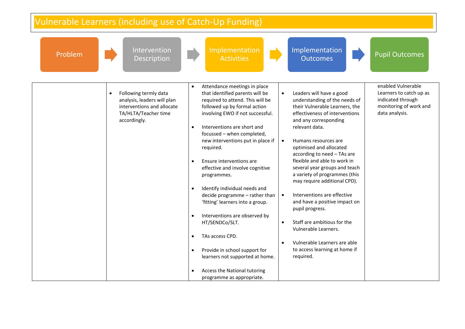| Intervention<br>Problem<br><b>Description</b>                                                                                           | Implementation<br><b>Activities</b>                                                                                                                                                                                                                                                                                                                                                                                                                                                                                                                                                                                                                                                                                                                                                                                                                         | Implementation<br><b>Pupil Outcomes</b><br><b>Outcomes</b>                                                                                                                                                                                                                                                                                                                                                                                                                                                                                                                                                                                                                                                                             |
|-----------------------------------------------------------------------------------------------------------------------------------------|-------------------------------------------------------------------------------------------------------------------------------------------------------------------------------------------------------------------------------------------------------------------------------------------------------------------------------------------------------------------------------------------------------------------------------------------------------------------------------------------------------------------------------------------------------------------------------------------------------------------------------------------------------------------------------------------------------------------------------------------------------------------------------------------------------------------------------------------------------------|----------------------------------------------------------------------------------------------------------------------------------------------------------------------------------------------------------------------------------------------------------------------------------------------------------------------------------------------------------------------------------------------------------------------------------------------------------------------------------------------------------------------------------------------------------------------------------------------------------------------------------------------------------------------------------------------------------------------------------------|
| Following termly data<br>$\bullet$<br>analysis, leaders will plan<br>interventions and allocate<br>TA/HLTA/Teacher time<br>accordingly. | Attendance meetings in place<br>$\bullet$<br>that identified parents will be<br>$\bullet$<br>required to attend. This will be<br>followed up by formal action<br>involving EWO if not successful.<br>Interventions are short and<br>$\bullet$<br>focussed - when completed,<br>new interventions put in place if<br>$\bullet$<br>required.<br>Ensure interventions are<br>$\bullet$<br>effective and involve cognitive<br>programmes.<br>Identify individual needs and<br>$\bullet$<br>decide programme - rather than<br>$\bullet$<br>'fitting' learners into a group.<br>Interventions are observed by<br>$\bullet$<br>HT/SENDCo/SLT.<br>$\bullet$<br>TAs access CPD.<br>$\bullet$<br>$\bullet$<br>Provide in school support for<br>$\bullet$<br>learners not supported at home.<br>Access the National tutoring<br>$\bullet$<br>programme as appropriate. | enabled Vulnerable<br>Leaders will have a good<br>Learners to catch up as<br>understanding of the needs of<br>indicated through<br>monitoring of work and<br>their Vulnerable Learners, the<br>effectiveness of interventions<br>data analysis.<br>and any corresponding<br>relevant data.<br>Humans resources are<br>optimised and allocated<br>according to need - TAs are<br>flexible and able to work in<br>several year groups and teach<br>a variety of programmes (this<br>may require additional CPD).<br>Interventions are effective<br>and have a positive impact on<br>pupil progress.<br>Staff are ambitious for the<br>Vulnerable Learners.<br>Vulnerable Learners are able<br>to access learning at home if<br>required. |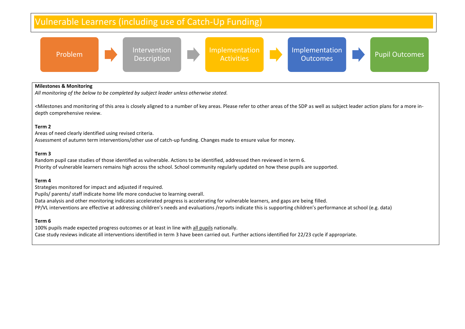

#### **Milestones & Monitoring**

*All monitoring of the below to be completed by subject leader unless otherwise stated.*

<Milestones and monitoring of this area is closely aligned to a number of key areas. Please refer to other areas of the SDP as well as subject leader action plans for a more indepth comprehensive review.

#### **Term 2**

Areas of need clearly identified using revised criteria. Assessment of autumn term interventions/other use of catch-up funding. Changes made to ensure value for money.

#### **Term 3**

Random pupil case studies of those identified as vulnerable. Actions to be identified, addressed then reviewed in term 6. Priority of vulnerable learners remains high across the school. School community regularly updated on how these pupils are supported.

#### **Term 4**

Strategies monitored for impact and adjusted if required.

Pupils/ parents/ staff indicate home life more conducive to learning overall.

Data analysis and other monitoring indicates accelerated progress is accelerating for vulnerable learners, and gaps are being filled.

PP/VL interventions are effective at addressing children's needs and evaluations /reports indicate this is supporting children's performance at school (e.g. data)

#### **Term 6**

100% pupils made expected progress outcomes or at least in line with all pupils nationally. Case study reviews indicate all interventions identified in term 3 have been carried out. Further actions identified for 22/23 cycle if appropriate.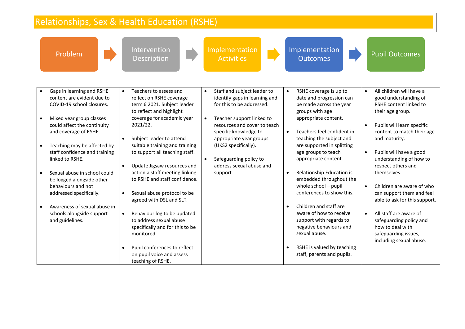| Relationships, Sex & Health Education (RSHE)                                                                                                                                                                                                                                                                                                                                                                                                              |                                                                                                                                                                                                                                                                                                                                                                                                                                                                                                                                                                                                                                                          |                                                                                                                                                                                                                                                                                                                                             |                                                                                                                                                                                                                                                                                                                                                                                                                                                                                                                                                                                                                                       |                                                                                                                                                                                                                                                                                                                                                                                                                                                                                                                                                                 |  |
|-----------------------------------------------------------------------------------------------------------------------------------------------------------------------------------------------------------------------------------------------------------------------------------------------------------------------------------------------------------------------------------------------------------------------------------------------------------|----------------------------------------------------------------------------------------------------------------------------------------------------------------------------------------------------------------------------------------------------------------------------------------------------------------------------------------------------------------------------------------------------------------------------------------------------------------------------------------------------------------------------------------------------------------------------------------------------------------------------------------------------------|---------------------------------------------------------------------------------------------------------------------------------------------------------------------------------------------------------------------------------------------------------------------------------------------------------------------------------------------|---------------------------------------------------------------------------------------------------------------------------------------------------------------------------------------------------------------------------------------------------------------------------------------------------------------------------------------------------------------------------------------------------------------------------------------------------------------------------------------------------------------------------------------------------------------------------------------------------------------------------------------|-----------------------------------------------------------------------------------------------------------------------------------------------------------------------------------------------------------------------------------------------------------------------------------------------------------------------------------------------------------------------------------------------------------------------------------------------------------------------------------------------------------------------------------------------------------------|--|
| Problem                                                                                                                                                                                                                                                                                                                                                                                                                                                   | Intervention<br><b>Description</b>                                                                                                                                                                                                                                                                                                                                                                                                                                                                                                                                                                                                                       | Implementation<br><b>Activities</b>                                                                                                                                                                                                                                                                                                         | Implementation<br><b>Outcomes</b>                                                                                                                                                                                                                                                                                                                                                                                                                                                                                                                                                                                                     | <b>Pupil Outcomes</b>                                                                                                                                                                                                                                                                                                                                                                                                                                                                                                                                           |  |
| Gaps in learning and RSHE<br>content are evident due to<br>COVID-19 school closures.<br>Mixed year group classes<br>could affect the continuity<br>and coverage of RSHE.<br>Teaching may be affected by<br>staff confidence and training<br>linked to RSHE.<br>Sexual abuse in school could<br>be logged alongside other<br>behaviours and not<br>addressed specifically.<br>Awareness of sexual abuse in<br>schools alongside support<br>and guidelines. | Teachers to assess and<br>$\bullet$<br>reflect on RSHE coverage<br>term 6 2021. Subject leader<br>to reflect and highlight<br>coverage for academic year<br>2021/22.<br>Subject leader to attend<br>$\bullet$<br>suitable training and training<br>to support all teaching staff.<br>Update Jigsaw resources and<br>$\bullet$<br>action a staff meeting linking<br>to RSHE and staff confidence.<br>Sexual abuse protocol to be<br>agreed with DSL and SLT.<br>Behaviour log to be updated<br>to address sexual abuse<br>specifically and for this to be<br>monitored.<br>Pupil conferences to reflect<br>on pupil voice and assess<br>teaching of RSHE. | Staff and subject leader to<br>$\bullet$<br>identify gaps in learning and<br>for this to be addressed.<br>Teacher support linked to<br>$\bullet$<br>resources and cover to teach<br>specific knowledge to<br>appropriate year groups<br>(UKS2 specifically).<br>Safeguarding policy to<br>$\bullet$<br>address sexual abuse and<br>support. | RSHE coverage is up to<br>$\bullet$<br>date and progression can<br>be made across the year<br>groups with age<br>appropriate content.<br>Teachers feel confident in<br>$\bullet$<br>teaching the subject and<br>are supported in splitting<br>age groups to teach<br>appropriate content.<br>Relationship Education is<br>$\bullet$<br>embedded throughout the<br>whole school - pupil<br>conferences to show this.<br>Children and staff are<br>$\bullet$<br>aware of how to receive<br>support with regards to<br>negative behaviours and<br>sexual abuse.<br>RSHE is valued by teaching<br>$\bullet$<br>staff, parents and pupils. | All children will have a<br>$\bullet$<br>good understanding of<br>RSHE content linked to<br>their age group.<br>Pupils will learn specific<br>$\bullet$<br>content to match their age<br>and maturity.<br>Pupils will have a good<br>$\bullet$<br>understanding of how to<br>respect others and<br>themselves.<br>Children are aware of who<br>$\bullet$<br>can support them and feel<br>able to ask for this support.<br>All staff are aware of<br>$\bullet$<br>safeguarding policy and<br>how to deal with<br>safeguarding issues,<br>including sexual abuse. |  |